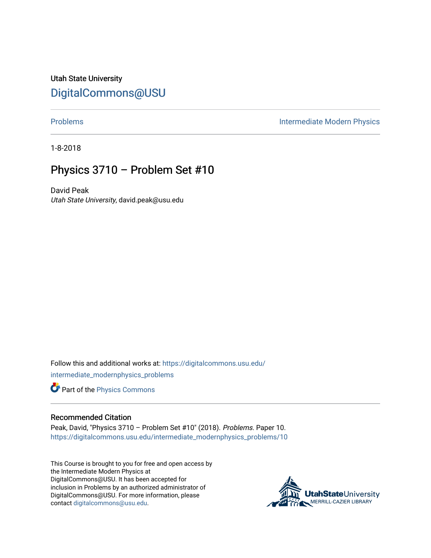Utah State University [DigitalCommons@USU](https://digitalcommons.usu.edu/)

[Problems](https://digitalcommons.usu.edu/intermediate_modernphysics_problems) **Intermediate Modern Physics** 

1-8-2018

## Physics 3710 – Problem Set #10

David Peak Utah State University, david.peak@usu.edu

Follow this and additional works at: [https://digitalcommons.usu.edu/](https://digitalcommons.usu.edu/intermediate_modernphysics_problems?utm_source=digitalcommons.usu.edu%2Fintermediate_modernphysics_problems%2F10&utm_medium=PDF&utm_campaign=PDFCoverPages) [intermediate\\_modernphysics\\_problems](https://digitalcommons.usu.edu/intermediate_modernphysics_problems?utm_source=digitalcommons.usu.edu%2Fintermediate_modernphysics_problems%2F10&utm_medium=PDF&utm_campaign=PDFCoverPages)

Part of the [Physics Commons](http://network.bepress.com/hgg/discipline/193?utm_source=digitalcommons.usu.edu%2Fintermediate_modernphysics_problems%2F10&utm_medium=PDF&utm_campaign=PDFCoverPages)

## Recommended Citation

Peak, David, "Physics 3710 – Problem Set #10" (2018). Problems. Paper 10. [https://digitalcommons.usu.edu/intermediate\\_modernphysics\\_problems/10](https://digitalcommons.usu.edu/intermediate_modernphysics_problems/10?utm_source=digitalcommons.usu.edu%2Fintermediate_modernphysics_problems%2F10&utm_medium=PDF&utm_campaign=PDFCoverPages) 

This Course is brought to you for free and open access by the Intermediate Modern Physics at DigitalCommons@USU. It has been accepted for inclusion in Problems by an authorized administrator of DigitalCommons@USU. For more information, please contact [digitalcommons@usu.edu](mailto:digitalcommons@usu.edu).